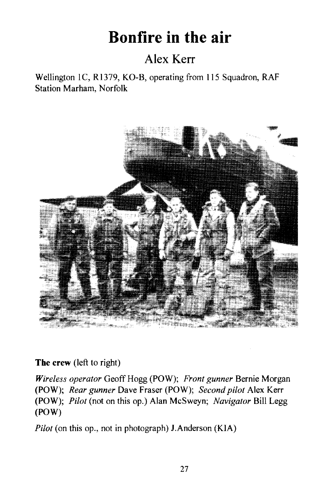# **Bonfire in the air**

# Alex Kerr

Wellington lC, R1379, KO-B, operating from 115 Squadron, RAF Station Marham, Norfolk



**The** crew (left to right)

*Wireless operator* Geoff Hogg (POW); *Front gunner* Bernie Morgan (POW); *Rear gunner* Dave Fraser (POW); *Second pilot* Alex Kerr (POW); *Pilot* (not on this op.) Alan McSweyn; *Navigator* Bill Legg (POW)

*Pilot* (on this op., not in photograph) J.Anderson (KIA)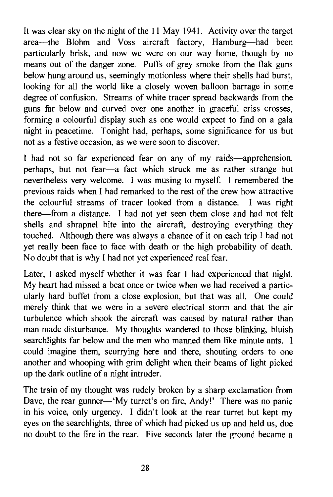It was clear sky on the night of the 11 May 1941. Activity over the target area-the Blohm and Voss aircraft factory, Hamburg-had been particularly brisk, and now we were on our way home, though by no means out of the danger zone. Puffs of grey smoke from the flak guns below hung around us, seemingly motionless where their shells had burst, looking for all the world like a closely woven balloon barrage in some degree of confusion. Streams of white tracer spread backwards from the guns far below and curved over one another in graceful criss crosses, forming a colourful display such as one would expect to find on a gala night in peacetime. Tonight had, perhaps, some significance for us but not as a festive occasion, as we were soon to discover.

I had not so far experienced fear on any of my raids—apprehension, perhaps, but not fear-a fact which struck me as rather strange but nevertheless very welcome. I was musing to myself. I remembered the previous raids when I had remarked to the rest of the crew how attractive the colourful streams of tracer looked from a distance. I was right there-from a distance. I had not yet seen them close and had not felt shells and shrapnel bite into the aircraft, destroying everything they touched. Although there was always a chance of it on each trip I had not yet really been face to face with death or the high probability of death. No doubt that is why I had not yet experienced real fear.

Later, I asked myself whether it was fear I had experienced that night. My heart had missed a beat once or twice when we had received a particularly hard buffet from a close explosion, but that was all. One could merely think that we were in a severe electrical storm and that the air turbulence which shook the aircraft was caused by natural rather than man-made disturbance. My thoughts wandered to those blinking, bluish searchlights far below and the men who manned them like minute ants. I could imagine them, scurrying here and there, shouting orders to one another and whooping with grim delight when their beams of light picked up the dark outline of a night intruder.

The train of my thought was rudely broken by a sharp exclamation from Dave, the rear gunner—'My turret's on fire, Andy!' There was no panic in his voice, only urgency. I didn't look at the rear turret but kept my eyes on the searchlights, three of which had picked us up and held us, due no doubt to the fire in the rear. Five seconds later the ground became a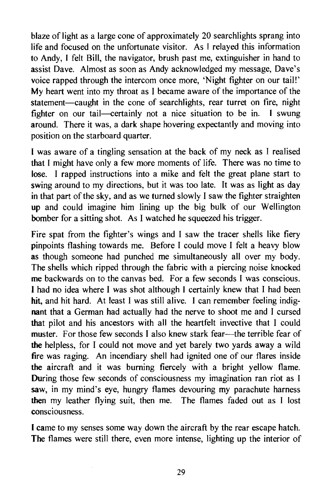blaze of light as a large cone of approximately 20 searchlights sprang into life and focused on the unfortunate visitor. As I relayed this information to Andy, I felt Bill, the navigator, brush past me, extinguisher in hand to assist Dave. Almost as soon as Andy acknowledged my message, Dave's voice rapped through the intercom once more, 'Night fighter on our tail!' My heart went into my throat as I became aware of the importance of the statement-caught in the cone of searchlights, rear turret on fire, night fighter on our tail—certainly not a nice situation to be in. I swung around. There it was, a dark shape hovering expectantly and moving into position on the starboard quarter.

I was aware of a tingling sensation at the back of my neck as I realised that I might have only a few more moments of life. There was no time to lose. I rapped instructions into a mike and felt the great plane start to swing around to my directions, but it was too late. It was as light as day in that part of the sky, and as we turned slowly I saw the fighter straighten up and could imagine him lining up the big bulk of our WelIington bomber for a sitting shot. As I watched he squeezed his trigger.

Fire spat from the fighter's wings and I saw the tracer shells like fiery pinpoints flashing towards me. Before I could move I felt a heavy blow as though someone had punched me simultaneously all over my body. The shells which ripped through the fabric with a piercing noise knocked me backwards on to the canvas bed. For a few seconds I was conscious. I had no idea where I was shot although I certainly knew that I had been hit, and hit hard. At least I was still alive. I can remember feeling indignant that a German had actuaIly had the nerve to shoot me and I cursed that pilot and his ancestors with all the heartfelt invective that I could muster. For those few seconds I also knew stark fear-the terrible fear of the helpless, for I could not move and yet barely two yards away a wild fire was raging. An incendiary shell had ignited one of our flares inside the aircraft and it was burning fiercely with a bright yeIlow flame. During those few seconds of consciousness my imagination ran riot as I saw, in my mind's eye, hungry flames devouring my parachute harness then my leather flying suit, then me. The flames faded out as I lost consciousness.

I came to my senses some way down the aircraft by the rear escape hatch. The flames were still there, even more intense, lighting up the interior of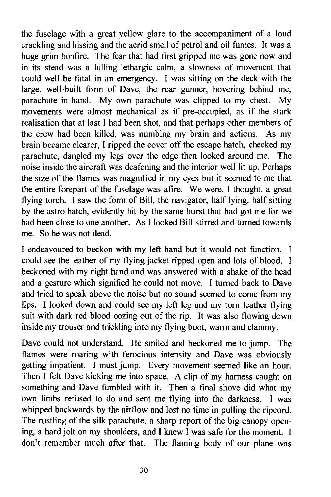the fuselage with a great yellow glare to the accompaniment of a loud crackling and hissing and the acrid smell of petrol and oil fumes. It was a huge grim bonfire. The fear that had first gripped me was gone now and in its stead was a lulling lethargic calm, a slowness of movement that could well be fatal in an emergency. I was sitting on the deck with the large, well-built form of Dave, the rear gunner, hovering behind me, parachute in hand. My own parachute was clipped to my chest. My movements were almost mechanical as if pre-occupied, as if the stark realisation that at last I had been shot, and that perhaps other members of the crew had been killed, was numbing my brain and actions. As my brain became clearer, I ripped the cover off the escape hatch, checked my parachute, dangled my legs over the edge then looked around me. The noise inside the aircraft was deafening and the interior well lit up. Perhaps the size of the flames was magnified in my eyes but it seemed to me that the entire forepart of the fuselage was afire. We were, I thought, a great flying torch. I saw the form of Bill, the navigator, half lying, half sitting by the astro hatch, evidently hit by the same burst that had got me for we had been close to one another. As I looked Bill stirred and turned towards me. So he was not dead.

I endeavoured to beckon with my left hand but it would not function. I could see the leather of my flying jacket ripped open and lots of blood. I beckoned with my right hand and was answered with a shake of the head and a gesture which signified he could not move. I turned back to Dave and tried to speak above the noise but no sound seemed to come from my lips. I looked down and could see my left leg and my torn leather flying suit with dark red blood oozing out of the rip. It was also flowing down inside my trouser and trickling into my flying boot, warm and clammy.

Dave could not understand. He smiled and beckoned me to jump. The flames were roaring with ferocious intensity and Dave was obviously getting impatient. I must jump. Every movement seemed like an hour. Then I felt Dave kicking me into space. A clip of my harness caught on something and Dave fumbled with it. Then a final shove did what my own limbs refused to do and sent me flying into the darkness. I was whipped backwards by the airflow and lost no time in pulling the ripcord. The rustling of the silk parachute, a sharp report of the big canopy opening, a hard jolt on my shoulders, and I knew I was safe for the moment. I don't remember much after that. The flaming body of our plane was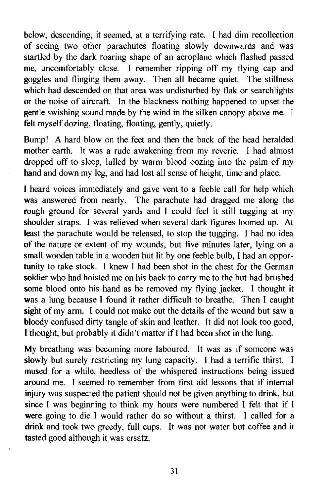below, descending, it seemed, at a terrifying rate. I had dim recollection of seeing two other parachutes floating slowly downwards and was startled by the dark roaring shape of an aeroplane which flashed passed me, uncomfortably close. I remember ripping off my flying cap and goggles and flinging them away. Then all became quiet. The stillness which had descended on that area was undisturbed by flak or searchlights or the noise of aircraft. In the blackness nothing happened to upset the gentle swishing sound made by the wind in the silken canopy above me. I felt myself dozing, floating, floating, gently, quietly.

Bump! A hard blow on the feet and then the back of the head heralded mother earth. It was a rude awakening from my reverie. I had almost dropped off to sleep, lulled by warm blood oozing into the palm of my hand and down my leg, and had lost all sense of height, time and place.

I heard voices immediately and gave vent to a feeble call for help which was answered from nearly. The parachute had dragged me along the rough ground for several yards and I could feel it still tugging at my shoulder straps. I was relieved when several dark figures loomed up. At least the parachute would be released, to stop the tugging. I had no idea of the nature or extent of my wounds, but five minutes later, lying on a small wooden table in a wooden hut lit by one feeble bulb, I had an opportunity to take stock. I knew I had been shot in the chest for the German soldier who had hoisted me on his back to carry me to the hut had brushed some blood onto his hand as he removed my flying jacket. I thought it was a lung because I found it rather difficult to breathe. Then I caught sight of my arm. I could not make out the details of the wound but saw a bloody confused dirty tangle of skin and leather. It did not look too good, I thought, but probably it didn't matter if I had been shot in the lung.

My breathing was becoming more laboured. It was as if someone was slowly but surely restricting my lung capacity. I had a terrific thirst. I mused for a while, heedless of the whispered instructions being issued around me. I seemed to remember from first aid lessons that if internal injury was suspected the patient should not be given anything to drink, but since I was beginning to think my hours were numbered I felt that if I were going to die I would rather do so without a thirst. I called for a drink and took two greedy, full cups. It was not water but coffee and it tasted good although it was ersatz.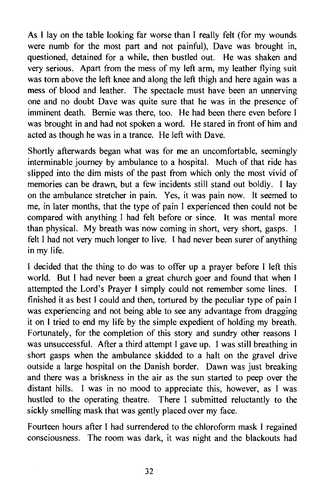As I lay on the table looking far worse than I really felt (for my wounds were numb for the most part and not painful), Dave was brought in, questioned, detained for a while, then bustled out. He was shaken and very serious. Apart from the mess of my left arm, my leather flying suit was torn above the left knee and along the left thigh and here again was a mess of blood and leather. The spectacle must have been an unnerving one and no doubt Dave was quite sure that he was in the presence of imminent death. Bernie was there, too. He had been there even before I was brought in and had not spoken a word. He stared in front of him and acted as though he was in a trance. He left with Dave.

Shortly afterwards began what was for me an uncomfortable, seemingly interminable journey by ambulance to a hospital. Much of that ride has slipped into the dim mists of the past from which only the most vivid of memories can be drawn, but a few incidents still stand out boldly. I lay on the ambulance stretcher in pain. Yes, it was pain now. It seemed to me, in later months, that the type of pain I experienced then could not be compared with anything I had felt before or since. It was mental more than physical. My breath was now coming in short, very short, gasps. I felt I had not very much longer to live. I had never been surer of anything in my life.

I decided that the thing to do was to offer up a prayer before I left this world. But I had never been a great church goer and found that when I attempted the Lord's Prayer I simply could not remember some lines. I finished it as best I could and then, tortured by the peculiar type of pain I was experiencing and not being able to see any advantage from dragging it on I tried to end my life by the simple expedient of holding my breath. Fortunately, for the completion of this story and sundry other reasons I was unsuccessful. After a third attempt I gave up. I was still breathing in short gasps when the ambulance skidded to a halt on the gravel drive outside a large hospital on the Danish border. Dawn was just breaking and there was a briskness in the air as the sun started to peep over the distant hills. I was in no mood to appreciate this, however, as I was hustled to the operating theatre. There I submitted reluctantly to the sickly smelling mask that was gently placed over my face.

Fourteen hours after I had surrendered to the chloroform mask I regained consciousness. The room was dark, it was night and the blackouts had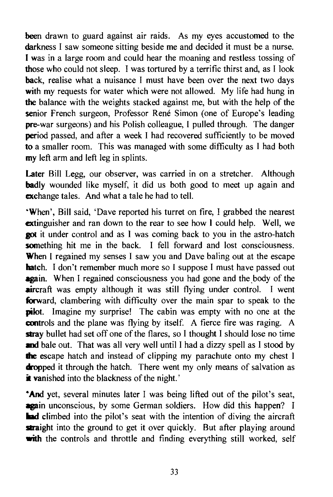been drawn to guard against air raids. As my eyes accustomed to the darkness I saw someone sitting beside me and decided it must be a nurse. I was in a large room and could hear the moaning and restless tossing of those who could not sleep. I was tortured by a terrific thirst and, as I look back, realise what a nuisance I must have been over the next two days with my requests for water which were not allowed. My life had hung in the balance with the weights stacked against me, but with the help of the senior French surgeon, Professor René Simon (one of Europe's leading pre-war surgeons) and his Polish colleague, I pulled through. The danger period passed, and after a week I had recovered sufficiently to be moved to a smaller room. This was managed with some difficulty as I had both my left arm and left leg in splints.

Later Bill Legg, our observer, was carried in on a stretcher. Although **badly** wounded like myself, it did us both good to meet up again and exchange tales. And what a tale he had to tell.

'When', Bill said, 'Dave reported his turret on fire, I grabbed the nearest extinguisher and ran down to the rear to see how I could help. Well, we **got** it under control and as I was coming back to you in the astro-hatch something hit me in the back. I fell forward and lost consciousness. When I regained my senses I saw you and Dave baling out at the escape hatch. I don't remember much more so I suppose I must have passed out **again.** When I regained consciousness you had gone and the body of the **aircraft** was empty although it was still flying under control. I went forward, clambering with difficulty over the main spar to speak to the pilot. Imagine my surprise! The cabin was empty with no one at the controls and the plane was flying by itself. A fierce fire was raging. A stray bullet had set off one of the flares, so I thought I should lose no time and bale out. That was all very well until I had a dizzy spell as I stood by the escape hatch and instead of clipping my parachute onto my chest I dropped it through the hatch. There went my only means of salvation as it vanished into the blackness of the night.'

**And yet, several minutes later I was being lifted out of the pilot's seat,** again unconscious, by some German soldiers. How did this happen? I **Ind** climbed into the pilot's seat with the intention of diving the aircraft straight into the ground to get it over quickly. But after playing around with the controls and throttle and finding everything still worked, self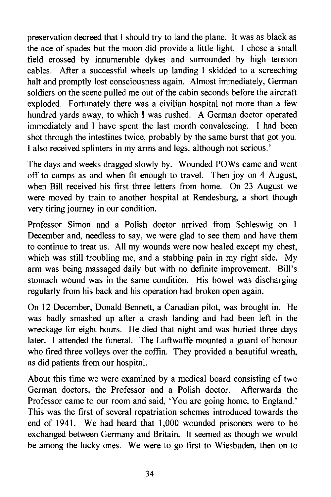preservation decreed that I should try to land the plane. It was as black as the ace of spades but the moon did provide a little light. I chose a small field crossed by innumerable dykes and surrounded by high tension cables. After a successful wheels up landing I skidded to a screeching halt and promptly lost consciousness again. Almost immediately, German soldiers on the scene pulled me out of the cabin seconds before the aircraft exploded. Fortunately there was a civilian hospital not more than a few hundred yards away, to which I was rushed. A German doctor operated immediately and I have spent the last month convalescing. I had been shot through the intestines twice, probably by the same burst that got you. I also received splinters in my arms and legs, although not serious.'

The days and weeks dragged slowly by. Wounded POWs came and went off to camps as and when fit enough to travel. Then joy on 4 August, when Bill received his first three letters from home. On 23 August we were moved by train to another hospital at Rendesburg, a short though very tiring journey in our condition.

Professor Simon and a Polish doctor arrived from Schleswig on 1 December and, needless to say, we were glad to see them and have them to continue to treat us. All my wounds were now healed except my chest, which was still troubling me, and a stabbing pain in my right side. My arm was being massaged daily but with no definite improvement. Bill's stomach wound was in the same condition. His bowel was discharging regularly from his back and his operation had broken open again.

On 12 December, Donald Bennett, a Canadian pilot, was brought in. He was badly smashed up after a crash landing and had been left in the wreckage for eight hours. He died that night and was buried three days later. I attended the funeral. The Luftwaffe mounted a guard of honour who fired three volleys over the coffin. They provided a beautiful wreath, as did patients from our hospital.

About this time we were examined by a medical board consisting of two German doctors, the Professor and a Polish doctor. Afterwards the Professor came to our room and said, 'You are going home, to England.' This was the first of several repatriation schemes introduced towards the end of 1941. We had heard that 1,000 wounded prisoners were to be exchanged between Germany and Britain. It seemed as though we would be among the lucky ones. We were to go first to Wiesbaden, then on to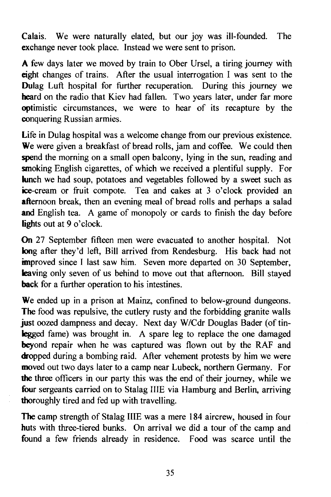Calais. We were naturally elated, but our joy was ill-founded. The exchange never took place. Instead we were sent to prison.

A few days later we moved by train to Ober Ursel, a tiring journey with eight changes of trains. After the usual interrogation I was sent to the Dulag Luft hospital for further recuperation. During this journey we heard on the radio that Kiev had fallen. Two years later, under far more optimistic circumstances, we were to hear of its recapture by the conquering Russian armies.

Life in Dulag hospital was a welcome change from our previous existence. We were given a breakfast of bread rolls, jam and coffee. We could then spend the morning on a small open balcony, lying in the sun, reading and smoking English cigarettes, of which we received a plentiful supply. For kunch we had soup, potatoes and vegetables followed by a sweet such as ice-cream or fruit compote. Tea and cakes at 3 o'clock provided an afternoon break, then an evening meal of bread rolls and perhaps a salad and English tea. A game of monopoly or cards to finish the day before lights out at 9 o'clock.

On 27 September fifteen men were evacuated to another hospital. Not long after they'd left, Bill arrived from Rendesburg. His back had not improved since I last saw him. Seven more departed on 30 September, leaving only seven of us behind to move out that afternoon. Bill stayed back for a further operation to his intestines.

We ended up in a prison at Mainz, confined to below-ground dungeons. **The** food was repulsive, the cutlery rusty and the forbidding granite walls just oozed dampness and decay. Next day W/Cdr Douglas Bader (of tinlegged fame) was brought in. A spare leg to replace the one damaged beyond repair when he was captured was flown out by the RAF and dropped during a bombing raid. After vehement protests by him we were moved out two days later to a camp near Lubeck, northern Germany. For the three officers in our party this was the end of their journey, while we four sergeants carried on to Stalag IIIE via Hamburg and Berlin, arriving thoroughly tired and fed up with travelling.

The camp strength of Stalag IIIE was a mere 184 aircrew, housed in four huts with three-tiered bunks. On arrival we did a tour of the camp and found a few friends already in residence. Food was scarce until the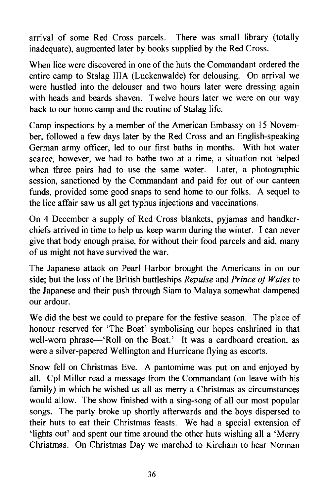arrival of some Red Cross parcels. There was small library (totally inadequate), augmented later by books supplied by the Red Cross.

When lice were discovered in one of the huts the Commandant ordered the entire camp to Stalag IlIA (Luckenwalde) for delousing. On arrival we were hustled into the delouser and two hours later were dressing again with heads and beards shaven. Twelve hours later we were on our way back to our home camp and the routine of Stalag life.

Camp inspections by a member of the American Embassy on 15 November, followed a few days later by the Red Cross and an English-speaking German army officer, led to our first baths in months. With hot water scarce, however, we had to bathe two at a time, a situation not helped when three pairs had to use the same water. Later, a photographic session, sanctioned by the Commandant and paid for out of our canteen funds, provided some good snaps to send home to our folks. A sequel to the lice affair saw us all get typhus injections and vaccinations.

On 4 December a supply of Red Cross blankets, pyjamas and handkerchiefs arrived in time to help us keep warm during the winter. I can never give that body enough praise, for without their food parcels and aid, many of us might not have survived the war.

The Japanese attack on Pearl Harbor brought the Americans in on our side; but the loss of the British battleships *Repulse* and *Prince of Wales* to the Japanese and their push through Siam to Malaya somewhat dampened our ardour.

We did the best we could to prepare for the festive season. The place of honour reserved for 'The Boat' symbolising our hopes enshrined in that well-worn phrase-'Roll on the Boat.' It was a cardboard creation, as were a silver-papered Wellington and Hurricane flying as escorts.

Snow fell on Christmas Eve. A pantomime was put on and enjoyed by all. Cpl Miller read a message from the Commandant (on leave with his family) in which he wished us all as merry a Christmas as circumstances would allow. The show finished with a sing-song of all our most popular songs. The party broke up shortly afterwards and the boys dispersed to their huts to eat their Christmas feasts. We had a special extension of 'lights out' and spent our time around the other huts wishing all a 'Merry Christmas. On Christmas Day we marched to Kirchain to hear Norman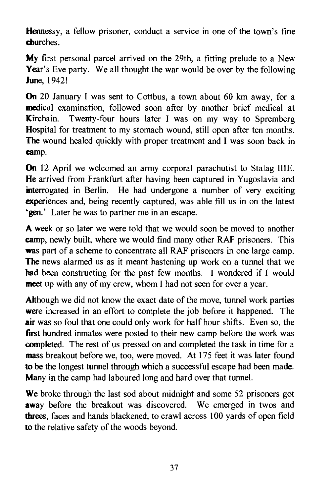Hennessy, a fellow prisoner, conduct a service in one of the town's fine churches.

My first personal parcel arrived on the 29th, a fitting prelude to a New Year's Eve party. We all thought the war would be over by the following June, 1942!

On 20 January 1 was sent to Cottbus, a town about 60 km away, for a medical examination, followed soon after by another brief medical at Kirchain. Twenty-four hours later I was on my way to Spremberg Hospital for treatment to my stomach wound, still open after ten months. The wound healed quickly with proper treatment and I was soon back in camp.

On 12 April we welcomed an army corporal parachutist to Stalag IIIE. He arrived from Frankfurt after having been captured in Yugoslavia and interrogated in Berlin. He had undergone a number of very exciting experiences and, being recently captured, was able fill us in on the latest "gen." Later he was to partner me in an escape.

A week or so later we were told that we would soon be moved to another camp, newly built, where we would find many other RAF prisoners. This was part of a scheme to concentrate all RAF prisoners in one large camp. The news alarmed us as it meant hastening up work on a tunnel that we had been constructing for the past few months. I wondered if I would meet up with any of my crew, whom I had not seen for over a year.

Although we did not know the exact date of the move, tunnel work parties were increased in an effort to complete the job before it happened. The air was so foul that one could only work for half hour shifts. Even so, the first hundred inmates were posted to their new camp before the work was completed. The rest of us pressed on and completed the task in time for a mass breakout before we, too, were moved. At 175 feet it was later found to be the longest tunnel through which a successful escape had been made. Many in the camp had laboured long and hard over that tunnel.

We broke through the last sod about midnight and some 52 prisoners got away before the breakout was discovered. We emerged in twos and threes, faces and hands blackened, to crawl across 100 yards of open field to the relative safety of the woods beyond.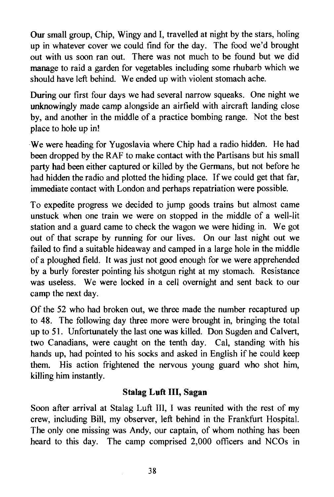Our small group, Chip, Wingy and I, travelled at night by the stars, holing up in whatever cover we could find for the day. The food we'd brought out with us soon ran out. There was not much to be found but we did manage to raid a garden for vegetables including some rhubarb which we should have left behind. We ended up with violent stomach ache.

During our first four days we had several narrow squeaks. One night we unknowingly made camp alongside an airfield with aircraft landing close by, and another in the middle of a practice bombing range. Not the best place to hole up in!

-We were heading for Yugoslavia where Chip had a radio hidden. He had been dropped by the RAP to make contact with the Partisans but his small party had been either captured or killed by the Germans, but not before he had hidden the radio and plotted the hiding place. If we could get that far, immediate contact with London and perhaps repatriation were possible.

To expedite progress we decided to jump goods trains but almost came unstuck when one train we were on stopped in the middle of a well-lit station and a guard came to check the wagon we were hiding in. We got out of that scrape by running for our lives. On our last night out we failed to find a suitable hideaway and camped in a large hole in the middle of a ploughed field. It was just not good enough for we were apprehended by a burly forester pointing his shotgun right at my stomach. Resistance was useless. We were locked in a cell overnight and sent back to our camp the next day.

Of the 52 who had broken out, we three made the number recaptured up to 48. The following day three more were brought in, bringing the total up to 51. Unfortunately the last one was killed. Don Sugden and Calvert, two Canadians, were caught on the tenth day. Cal, standing with his hands up, had pointed to his socks and asked in English if he could keep them. His action frightened the nervous young guard who shot him, killing him instantly.

#### Stalag **Luft III,** Sagan

Soon after arrival at Stalag Luft III, I was reunited with the rest of my crew, including Bill, my observer, left behind in the Frankfurt Hospital. The only one missing was Andy, our captain, of whom nothing has been heard to this day. The camp comprised 2,000 officers and NCOs in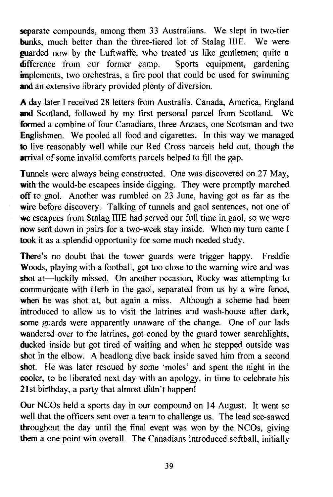separate compounds, among them 33 Australians. We slept in two-tier bunks, much better than the three-tiered lot of Stalag IIIE. We were **guarded** now by the Luftwaffe, who treated us like gentlemen; quite a **difference** from our former camp. Sports equipment, gardening difference from our former camp. **implements**, two orchestras, a fire pool that could be used for swimming and an extensive library provided plenty of diversion.

A day later I received 28 letters from Australia, Canada, America, England and Scotland, followed by my first personal parcel from Scotland. We formed a combine of four Canadians, three Anzacs, one Scotsman and two Englishmen. We pooled all food and cigarettes. In this way we managed 10 live reasonably well while our Red Cross parcels held out, though the **arrival** of some invalid comforts parcels helped to fill the gap.

Tunnels were always being constructed. One was discovered on 27 May, with the would-be escapees inside digging. They were promptly marched off to gaol. Another was rumbled on 23 June, having got as far as the wire before discovery. Talking of tunnels and gaol sentences, not one of we escapees from Stalag IIIE had served our full time in gaol, so we were now sent down in pairs for a two-week stay inside. When my turn came I took it as a splendid opportunity for some much needed study.

There's no doubt that the tower guards were trigger happy. Freddie Woods, playing with a football, got too close to the warning wire and was shot at—luckily missed. On another occasion, Rocky was attempting to communicate with Herb in the gaol, separated from us by a wire fence, when he was shot at, but again a miss. Although a scheme had been introduced to allow us to visit the latrines and wash-house after dark, some guards were apparently unaware of the change. One of our lads wandered over to the latrines, got coned by the guard tower searchlights, ducked inside but got tired of waiting and when he stepped outside was shot in the elbow. A headlong dive back inside saved him from a second shot. He was later rescued by some 'moles' and spent the night in the cooler, to be liberated next day with an apology, in time to celebrate his 21st birthday, a party that almost didn't happen!

Our NCOs held a sports day in our compound on ]4 August. It went so well that the officers sent over a team to challenge us. The lead see-sawed throughout the day until the final event was won by the NCOs, giving them a one point win overall. The Canadians introduced softball, initially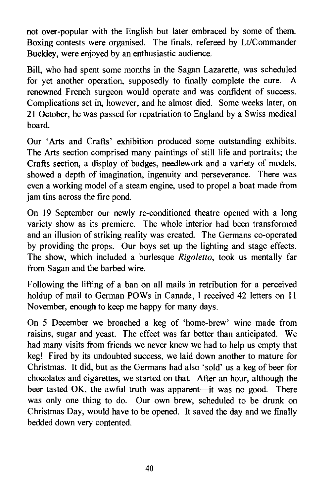not over-popular with the English but later embraced by some of them. Boxing contests were organised. The finals, refereed by Lt/Commander Buckley, were enjoyed by an enthusiastic audience.

Bill, who had spent some months in the Sagan Lazarette, was scheduled for yet another operation, supposedly to finally complete the cure. A renowned French surgeon would operate and was confident of success. Complications set in, however, and he almost died. Some weeks later, on 21 October, he was passed for repatriation to England by a Swiss medical board.

Our 'Arts and Crafts' exhibition produced some outstanding exhibits. The Arts section comprised many paintings of still life and portraits; the Crafts section, a display of badges, needlework and a variety of models, showed a depth of imagination, ingenuity and perseverance. There was even a working model of a steam engine, used to propel a boat made from jam tins across the fire pond.

On 19 September our newly re-conditioned theatre opened with a long variety show as its premiere. The whole interior had been transformed and an illusion of striking reality was created. The Germans co-operated by providing the props. Our boys set up the lighting and stage effects. The show, which included a burlesque *Rigoletto,* took us mentally far from Sagan and the barbed wire.

Following the lifting of a ban on all mails in retribution for a perceived holdup of mail to German POWs in Canada, 1 received 42 letters on 11 November, enough to keep me happy for many days.

On 5 December we broached a keg of 'home-brew' wine made from raisins, sugar and yeast. The effect was far better than anticipated. We had many visits from friends we never knew we had to help us empty that keg! Fired by its undoubted success, we laid down another to mature for Christmas. It did, but as the Germans had also 'sold' us a keg of beer for chocolates and cigarettes, we started on that. After an hour, although the beer tasted OK, the awful truth was apparent-it was no good. There was only one thing to do. Our own brew, scheduled to be drunk on Christmas Day, would have to be opened. It saved the day and we finally bedded down very contented.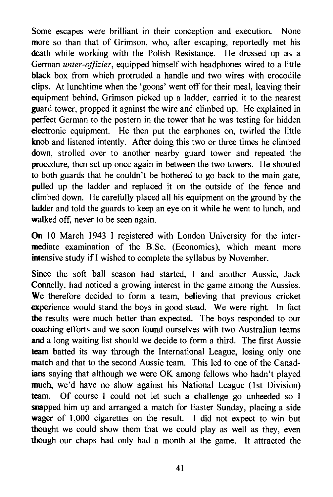Some escapes were brilliant in their conception and execution. None more so than that of Grimson, who, after escaping, reportedly met his death while working with the Polish Resistance. He dressed up as a German *unter-offizier,* equipped himself with headphones wired to a little black box from which protruded a handle and two wires with crocodile clips. At lunchtime when the 'goons' went off for their meal, leaving their equipment behind, Grimson picked up a ladder, carried it to the nearest guard tower, propped it against the wire and climbed up. He explained in perfect German to the postern in the tower that he was testing for hidden electronic equipment. He then put the earphones on, twirled the little knob and listened intently. After doing this two or three times he climbed down, strolled over to another nearby guard tower and repeated the procedure, then set up once again in between the two towers. He shouted to both guards that he couldn't be bothered to go back to the main gate, pulled up the ladder and replaced it on the outside of the fence and climbed down. He carefully placed all his equipment on the ground by the ladder and told the guards to keep an eye on it while he went to lunch, and walked off, never to be seen again.

On 10 March 1943 1 registered with London University for the intermediate examination of the B.Sc. (Economics), which meant more intensive study if I wished to complete the syllabus by November.

Since the soft ball season had started, I and another Aussie, Jack Connelly, had noticed a growing interest in the game among the Aussies. We therefore decided to form a team, believing that previous cricket experience would stand the boys in good stead. We were right. In fact the results were much better than expected. The boys responded to our coaching efforts and we soon found ourselves with two Australian teams and a long waiting list should we decide to form a third. The first Aussie team batted its way through the International League, losing only one match and that to the second Aussie team. This led to one of the Canadians saying that although we were OK among fellows who hadn't played much, we'd have no show against his National League (1st Division) team. Of course I could not let such a challenge go unheeded so I snapped him up and arranged a match for Easter Sunday, placing a side wager of 1,000 cigarettes on the result. I did not expect to win but thought we could show them that we could playas well as they, even though our chaps had only had a month at the game. It attracted the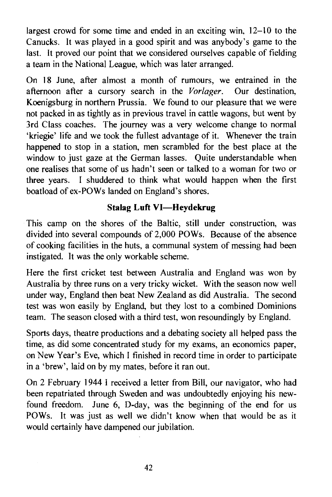largest crowd for some time and ended in an exciting win, 12-10 to the Canucks. It was played in a good spirit and was anybody's game to the last. It proved our point that we considered ourselves capable of fielding a team in the National League, which was later arranged.

On 18 June, after almost a month of rumours, we entrained in the afternoon after a cursory search in the *Vorlager.* Our destination, Koenigsburg in northern Prussia. We found to our pleasure that we were not packed in as tightly as in previous travel in cattle wagons, but went by 3rd Class coaches. The journey was a very welcome change to normal 'kriegie' life and we took the fullest advantage of it. Whenever the train happened to stop in a station, men scrambled for the best place at the window to just gaze at the German lasses. Quite understandable when one realises that some of us hadn't seen or talked to a woman for two or three years. I shuddered to think what would happen when the first boatload of ex-POWs landed on England's shores.

### **Stalag Luft VI-Heydekrug**

This camp on the shores of the Baltic, still under construction, was divided into several compounds of 2,000 POWs. Because of the absence of cooking facilities in the huts, a communal system of messing had been instigated. It was the only workable scheme.

Here the first cricket test between Australia and England was won by Australia by three runs on a very tricky wicket. With the season now well under way, England then beat New Zealand as did Australia. The second test was won easily by England, but they lost to a combined Dominions team. The season closed with a third test, won resoundingly by England.

Sports days, theatre productions and a debating society all helped pass the time, as did some concentrated study for my exams, an economics paper, on New Year's Eve, which I finished in record time in order to participate in a 'brew', laid on by my mates, before it ran out.

On 2 February 1944 I received a letter from Bill, our navigator, who had been repatriated through Sweden and was undoubtedly enjoying his newfound freedom. June 6, D-day, was the beginning of the end for us POWs. It was just as well we didn't know when that would be as it would certainly have dampened our jubilation.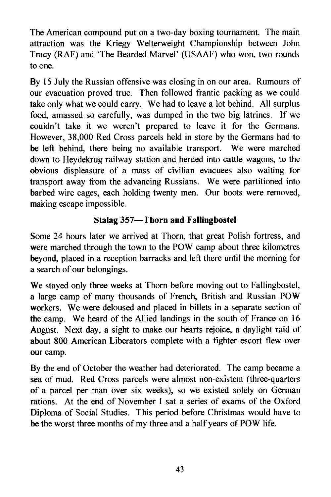The American compound put on a two-day boxing tournament. The main attraction was the Kriegy Welterweight Championship between John Tracy (RAF) and 'The Bearded Marvel' (USAAF) who won, two rounds to one.

By 15 July the Russian offensive was closing in on our area. Rumours of our evacuation proved true. Then followed frantic packing as we could take only what we could carry. We had to leave a lot behind. All surplus food, amassed so carefully, was dumped in the two big latrines. If we couldn't take it we weren't prepared to leave it for the Germans. However, 38,000 Red Cross parcels held in store by the Germans had to be left behind, there being no available transport. We were marched down to Heydekrug railway station and herded into cattle wagons, to the obvious displeasure of a mass of civilian evacuees also waiting for transport away from the advancing Russians. We were partitioned into barbed wire cages, each holding twenty men. Our boots were removed, making escape impossible.

## **Stalag** 357- **Thorn and Fallingbostel**

Some 24 hours later we arrived at Thorn, that great Polish fortress, and were marched through the town to the POW camp about three kilometres beyond, placed in a reception barracks and left there until the morning for a search of our belongings.

We stayed only three weeks at Thorn before moving out to Fallingbostel, a large camp of many thousands of French, British and Russian POW workers. We were deloused and placed in billets in a separate section of the camp. We heard of the Allied landings in the south of France on 16 August. Next day, a sight to make our hearts rejoice, a daylight raid of about 800 American Liberators complete with a fighter escort flew over our camp.

By the end of October the weather had deteriorated. The camp became a sea of mud. Red Cross parcels were almost non-existent (three-quarters of a parcel per man over six weeks), so we existed solely on German rations. At the end of November 1 sat a series of exams of the Oxford Diploma of Social Studies. This period before Christmas would have to be the worst three months of my three and a half years of POW life.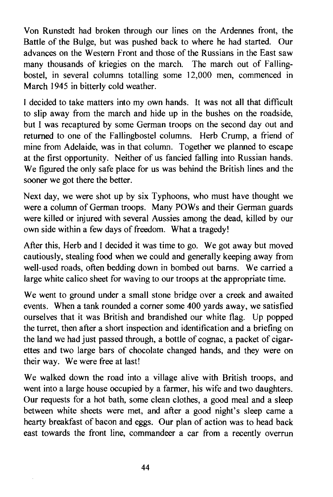Von Runstedt had broken through our lines on the Ardennes front, the Battle of the Bulge, but was pushed back to where he had started. Our advances on the Western Front and those of the Russians in the East saw many thousands of kriegies on the march. The march out of Fallingbostel, in several columns totalling some 12,000 men, commenced in March 1945 in bitterly cold weather.

I decided to take matters into my own hands. It was not all that difficult to slip away from the march and hide up in the bushes on the roadside, but I was recaptured by some German troops on the second day out and returned to one of the Fallingbostel columns. Herb Crump, a friend of mine from Adelaide, was in that column. Together we planned to escape at the first opportunity. Neither of us fancied faIling into Russian hands. We figured the only safe place for us was behind the British lines and the sooner we got there the better.

Next day, we were shot up by six Typhoons, who must have thought we were a column of German troops. Many POWs and their German guards were killed or injured with several Aussies among the dead, killed by our own side within a few days of freedom. What a tragedy!

After this, Herb and I decided it was time to go. We got away but moved cautiously, stealing food when we could and generally keeping away from well-used roads, often bedding down in bombed out barns. We carried a large white calico sheet for waving to our troops at the appropriate time.

We went to ground under a small stone bridge over a creek and awaited events. When a tank rounded a corner some 400 yards away, we satisfied ourselves that it was British and brandished our white flag. Up popped the turret, then after a short inspection and identification and a briefing on the land we had just passed through, a bottle of cognac, a packet of cigarettes and two large bars of chocolate changed hands, and they were on their way. We were free at last!

We walked down the road into a village alive with British troops, and went into a large house occupied by a farmer, his wife and two daughters. Our requests for a hot bath, some clean clothes, a good meal and a sleep between white sheets were met, and after a good night's sleep came a hearty breakfast of bacon and eggs. Our plan of action was to head back east towards the front line, commandeer a car from a recently overrun